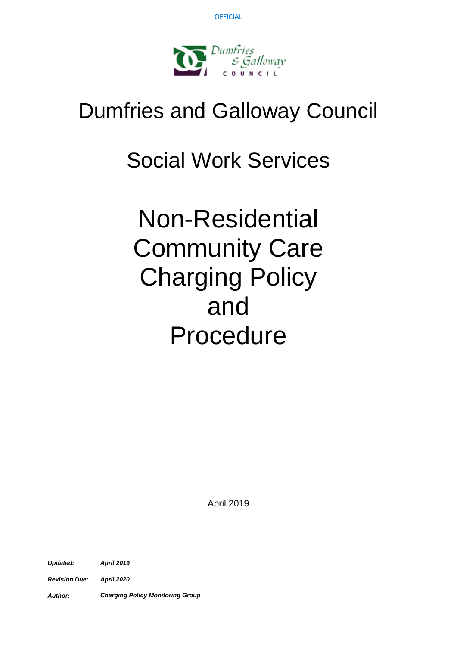

# Dumfries and Galloway Council

# Social Work Services

Non-Residential Community Care Charging Policy and Procedure

April 2019

*Updated: April 2019*

*Revision Due: April 2020*

*Author: Charging Policy Monitoring Group*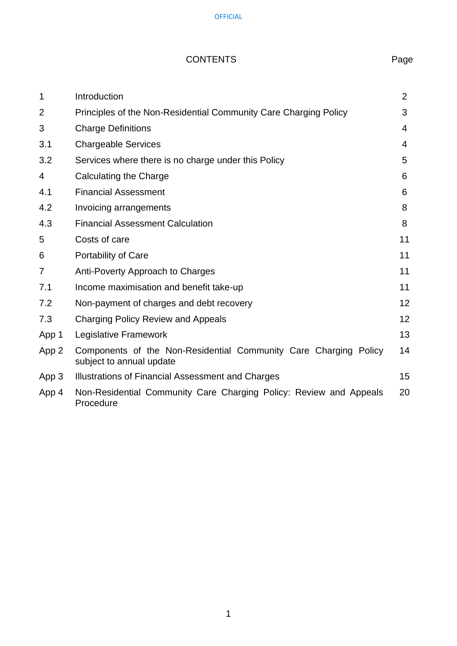# CONTENTS Page

| $\mathbf 1$    | Introduction                                                                                 | $\overline{2}$ |
|----------------|----------------------------------------------------------------------------------------------|----------------|
| $\overline{2}$ | Principles of the Non-Residential Community Care Charging Policy                             | 3              |
| 3              | <b>Charge Definitions</b>                                                                    | 4              |
| 3.1            | <b>Chargeable Services</b>                                                                   | 4              |
| 3.2            | Services where there is no charge under this Policy                                          | 5              |
| 4              | Calculating the Charge                                                                       | 6              |
| 4.1            | <b>Financial Assessment</b>                                                                  | 6              |
| 4.2            | Invoicing arrangements                                                                       | 8              |
| 4.3            | <b>Financial Assessment Calculation</b>                                                      | 8              |
| 5              | Costs of care                                                                                | 11             |
| 6              | Portability of Care                                                                          | 11             |
| $\overline{7}$ | Anti-Poverty Approach to Charges                                                             | 11             |
| 7.1            | Income maximisation and benefit take-up                                                      | 11             |
| 7.2            | Non-payment of charges and debt recovery                                                     | 12             |
| 7.3            | <b>Charging Policy Review and Appeals</b>                                                    | 12             |
| App 1          | Legislative Framework                                                                        | 13             |
| App 2          | Components of the Non-Residential Community Care Charging Policy<br>subject to annual update | 14             |
| App 3          | Illustrations of Financial Assessment and Charges                                            | 15             |
| App 4          | Non-Residential Community Care Charging Policy: Review and Appeals<br>Procedure              | 20             |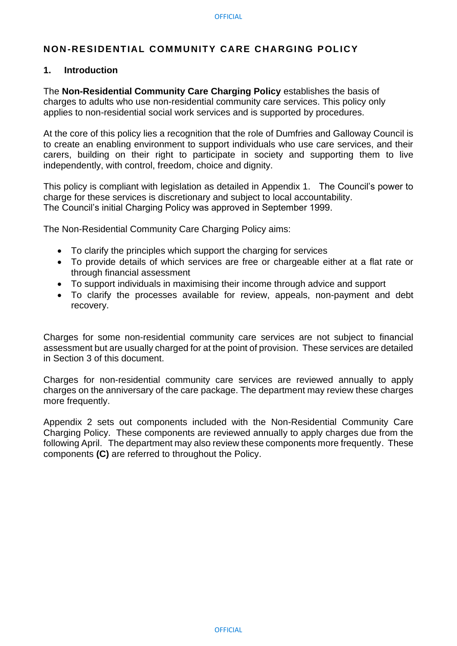#### **NON-RESIDENTIAL COMMUNITY CARE CHARGING POLICY**

#### **1. Introduction**

The **Non-Residential Community Care Charging Policy** establishes the basis of charges to adults who use non-residential community care services. This policy only applies to non-residential social work services and is supported by procedures.

At the core of this policy lies a recognition that the role of Dumfries and Galloway Council is to create an enabling environment to support individuals who use care services, and their carers, building on their right to participate in society and supporting them to live independently, with control, freedom, choice and dignity.

This policy is compliant with legislation as detailed in Appendix 1. The Council's power to charge for these services is discretionary and subject to local accountability. The Council's initial Charging Policy was approved in September 1999.

The Non-Residential Community Care Charging Policy aims:

- To clarify the principles which support the charging for services
- To provide details of which services are free or chargeable either at a flat rate or through financial assessment
- To support individuals in maximising their income through advice and support
- To clarify the processes available for review, appeals, non-payment and debt recovery.

Charges for some non-residential community care services are not subject to financial assessment but are usually charged for at the point of provision. These services are detailed in Section 3 of this document.

Charges for non-residential community care services are reviewed annually to apply charges on the anniversary of the care package. The department may review these charges more frequently.

Appendix 2 sets out components included with the Non-Residential Community Care Charging Policy. These components are reviewed annually to apply charges due from the following April. The department may also review these components more frequently. These components **(C)** are referred to throughout the Policy.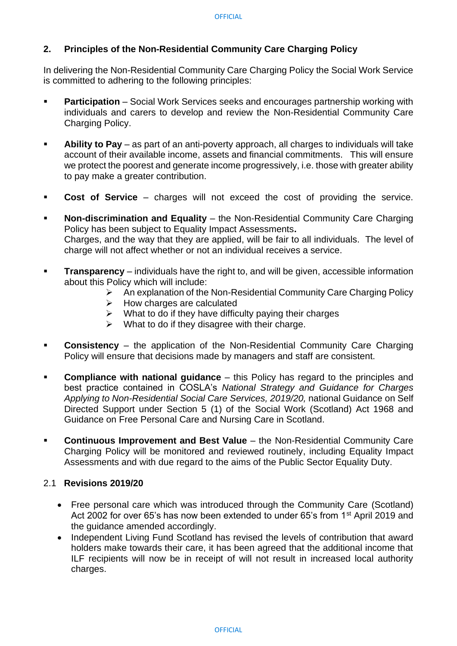#### **2. Principles of the Non-Residential Community Care Charging Policy**

In delivering the Non-Residential Community Care Charging Policy the Social Work Service is committed to adhering to the following principles:

- **Participation** Social Work Services seeks and encourages partnership working with individuals and carers to develop and review the Non-Residential Community Care Charging Policy.
- **Ability to Pay** as part of an anti-poverty approach, all charges to individuals will take account of their available income, assets and financial commitments. This will ensure we protect the poorest and generate income progressively, i.e. those with greater ability to pay make a greater contribution.
- **Cost of Service**  charges will not exceed the cost of providing the service.
- **Non-discrimination and Equality** the Non-Residential Community Care Charging Policy has been subject to Equality Impact Assessments**.** Charges, and the way that they are applied, will be fair to all individuals. The level of charge will not affect whether or not an individual receives a service.
- **Transparency** individuals have the right to, and will be given, accessible information about this Policy which will include:
	- ➢ An explanation of the Non-Residential Community Care Charging Policy
	- $\triangleright$  How charges are calculated
	- $\triangleright$  What to do if they have difficulty paying their charges
	- $\triangleright$  What to do if they disagree with their charge.
- **Consistency** the application of the Non-Residential Community Care Charging Policy will ensure that decisions made by managers and staff are consistent.
- **Compliance with national guidance** this Policy has regard to the principles and best practice contained in COSLA's *National Strategy and Guidance for Charges Applying to Non-Residential Social Care Services, 2019/20,* national Guidance on Self Directed Support under Section 5 (1) of the Social Work (Scotland) Act 1968 and Guidance on Free Personal Care and Nursing Care in Scotland.
- **Continuous Improvement and Best Value** the Non-Residential Community Care Charging Policy will be monitored and reviewed routinely, including Equality Impact Assessments and with due regard to the aims of the Public Sector Equality Duty.

#### 2.1 **Revisions 2019/20**

- Free personal care which was introduced through the Community Care (Scotland) Act 2002 for over 65's has now been extended to under 65's from 1<sup>st</sup> April 2019 and the guidance amended accordingly.
- Independent Living Fund Scotland has revised the levels of contribution that award holders make towards their care, it has been agreed that the additional income that ILF recipients will now be in receipt of will not result in increased local authority charges.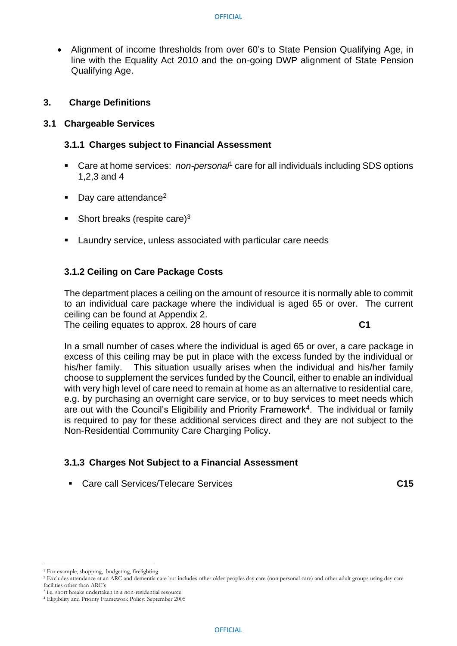• Alignment of income thresholds from over 60's to State Pension Qualifying Age, in line with the Equality Act 2010 and the on-going DWP alignment of State Pension Qualifying Age.

## **3. Charge Definitions**

### **3.1 Chargeable Services**

# **3.1.1 Charges subject to Financial Assessment**

- Care at home services: *non-personal*<sup>1</sup> care for all individuals including SDS options 1,2,3 and 4
- $\blacksquare$  Day care attendance<sup>2</sup>
- Short breaks (respite care) $3$
- Laundry service, unless associated with particular care needs

# **3.1.2 Ceiling on Care Package Costs**

The department places a ceiling on the amount of resource it is normally able to commit to an individual care package where the individual is aged 65 or over. The current ceiling can be found at Appendix 2.

The ceiling equates to approx. 28 hours of care **C1**

In a small number of cases where the individual is aged 65 or over, a care package in excess of this ceiling may be put in place with the excess funded by the individual or his/her family. This situation usually arises when the individual and his/her family choose to supplement the services funded by the Council, either to enable an individual with very high level of care need to remain at home as an alternative to residential care, e.g. by purchasing an overnight care service, or to buy services to meet needs which are out with the Council's Eligibility and Priority Framework<sup>4</sup>. The individual or family is required to pay for these additional services direct and they are not subject to the Non-Residential Community Care Charging Policy.

# **3.1.3 Charges Not Subject to a Financial Assessment**

▪ Care call Services/Telecare Services **C15**

<sup>1</sup> For example, shopping, budgeting, firelighting

<sup>2</sup> Excludes attendance at an ARC and dementia care but includes other older peoples day care (non personal care) and other adult groups using day care facilities other than ARC's

<sup>3</sup> i.e. short breaks undertaken in a non-residential resource

<sup>4</sup> Eligibility and Priority Framework Policy: September 2005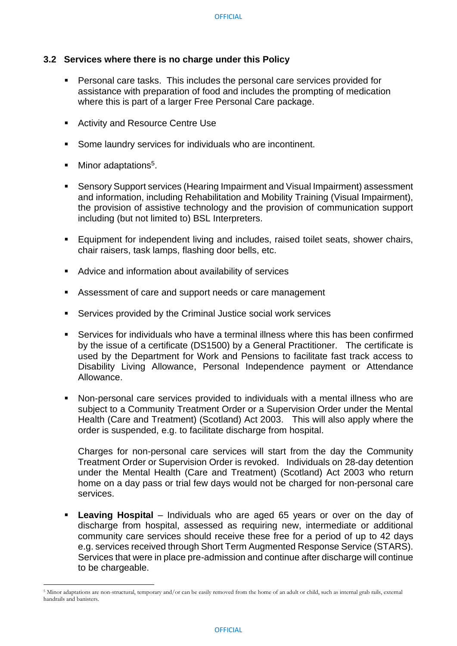#### **3.2 Services where there is no charge under this Policy**

- Personal care tasks. This includes the personal care services provided for assistance with preparation of food and includes the prompting of medication where this is part of a larger Free Personal Care package.
- Activity and Resource Centre Use
- Some laundry services for individuals who are incontinent.
- Minor adaptations<sup>5</sup>.
- Sensory Support services (Hearing Impairment and Visual Impairment) assessment and information, including Rehabilitation and Mobility Training (Visual Impairment), the provision of assistive technology and the provision of communication support including (but not limited to) BSL Interpreters.
- Equipment for independent living and includes, raised toilet seats, shower chairs, chair raisers, task lamps, flashing door bells, etc.
- Advice and information about availability of services
- Assessment of care and support needs or care management
- Services provided by the Criminal Justice social work services
- Services for individuals who have a terminal illness where this has been confirmed by the issue of a certificate (DS1500) by a General Practitioner. The certificate is used by the Department for Work and Pensions to facilitate fast track access to Disability Living Allowance, Personal Independence payment or Attendance Allowance.
- Non-personal care services provided to individuals with a mental illness who are subject to a Community Treatment Order or a Supervision Order under the Mental Health (Care and Treatment) (Scotland) Act 2003. This will also apply where the order is suspended, e.g. to facilitate discharge from hospital.

Charges for non-personal care services will start from the day the Community Treatment Order or Supervision Order is revoked. Individuals on 28-day detention under the Mental Health (Care and Treatment) (Scotland) Act 2003 who return home on a day pass or trial few days would not be charged for non-personal care services.

**• Leaving Hospital** – Individuals who are aged 65 years or over on the day of discharge from hospital, assessed as requiring new, intermediate or additional community care services should receive these free for a period of up to 42 days e.g. services received through Short Term Augmented Response Service (STARS). Services that were in place pre-admission and continue after discharge will continue to be chargeable.

<sup>5</sup> Minor adaptations are non-structural, temporary and/or can be easily removed from the home of an adult or child, such as internal grab rails, external handrails and banisters.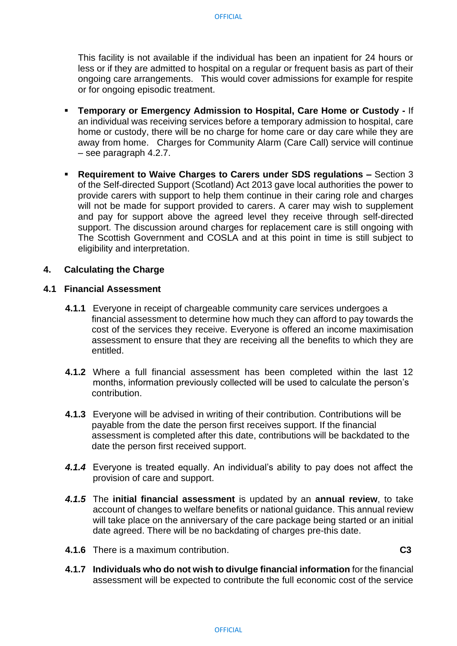This facility is not available if the individual has been an inpatient for 24 hours or less or if they are admitted to hospital on a regular or frequent basis as part of their ongoing care arrangements. This would cover admissions for example for respite or for ongoing episodic treatment.

- **Temporary or Emergency Admission to Hospital, Care Home or Custody -** If an individual was receiving services before a temporary admission to hospital, care home or custody, there will be no charge for home care or day care while they are away from home. Charges for Community Alarm (Care Call) service will continue – see paragraph 4.2.7.
- **Requirement to Waive Charges to Carers under SDS regulations –** Section 3 of the Self-directed Support (Scotland) Act 2013 gave local authorities the power to provide carers with support to help them continue in their caring role and charges will not be made for support provided to carers. A carer may wish to supplement and pay for support above the agreed level they receive through self-directed support. The discussion around charges for replacement care is still ongoing with The Scottish Government and COSLA and at this point in time is still subject to eligibility and interpretation.

#### **4. Calculating the Charge**

#### **4.1 Financial Assessment**

- **4.1.1** Everyone in receipt of chargeable community care services undergoes a financial assessment to determine how much they can afford to pay towards the cost of the services they receive. Everyone is offered an income maximisation assessment to ensure that they are receiving all the benefits to which they are entitled.
- **4.1.2** Where a full financial assessment has been completed within the last 12 months, information previously collected will be used to calculate the person's contribution.
- **4.1.3** Everyone will be advised in writing of their contribution. Contributions will be payable from the date the person first receives support. If the financial assessment is completed after this date, contributions will be backdated to the date the person first received support.
- *4.1.4* Everyone is treated equally. An individual's ability to pay does not affect the provision of care and support.
- *4.1.5* The **initial financial assessment** is updated by an **annual review**, to take account of changes to welfare benefits or national guidance. This annual review will take place on the anniversary of the care package being started or an initial date agreed. There will be no backdating of charges pre-this date.
- **4.1.6** There is a maximum contribution.**C3**
- 
- **4.1.7 Individuals who do not wish to divulge financial information** for the financial assessment will be expected to contribute the full economic cost of the service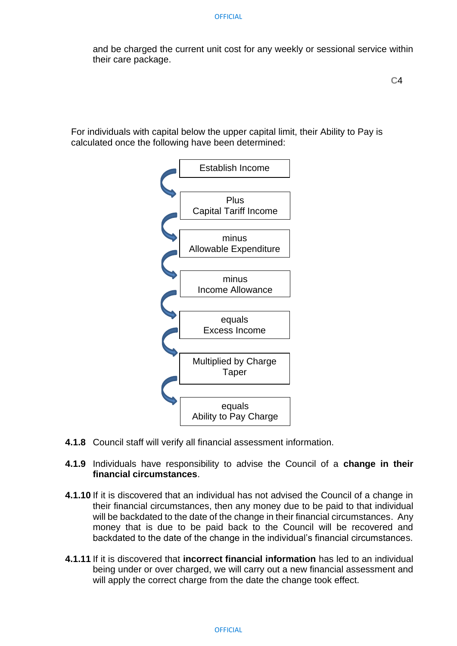and be charged the current unit cost for any weekly or sessional service within their care package.

For individuals with capital below the upper capital limit, their Ability to Pay is calculated once the following have been determined:



- **4.1.8** Council staff will verify all financial assessment information.
- **4.1.9** Individuals have responsibility to advise the Council of a **change in their financial circumstances**.
- **4.1.10** If it is discovered that an individual has not advised the Council of a change in their financial circumstances, then any money due to be paid to that individual will be backdated to the date of the change in their financial circumstances. Any money that is due to be paid back to the Council will be recovered and backdated to the date of the change in the individual's financial circumstances.
- **4.1.11** If it is discovered that **incorrect financial information** has led to an individual being under or over charged, we will carry out a new financial assessment and will apply the correct charge from the date the change took effect.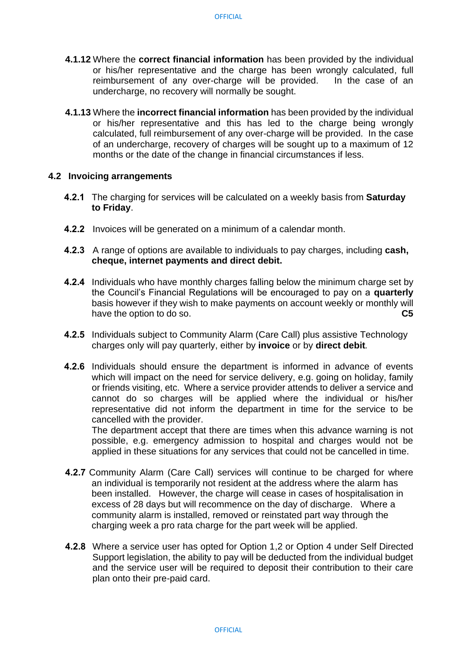- **4.1.12** Where the **correct financial information** has been provided by the individual or his/her representative and the charge has been wrongly calculated, full reimbursement of any over-charge will be provided. In the case of an undercharge, no recovery will normally be sought.
- **4.1.13** Where the **incorrect financial information** has been provided by the individual or his/her representative and this has led to the charge being wrongly calculated, full reimbursement of any over-charge will be provided. In the case of an undercharge, recovery of charges will be sought up to a maximum of 12 months or the date of the change in financial circumstances if less.

#### **4.2 Invoicing arrangements**

- **4.2.1** The charging for services will be calculated on a weekly basis from **Saturday to Friday**.
- **4.2.2** Invoices will be generated on a minimum of a calendar month.
- **4.2.3** A range of options are available to individuals to pay charges, including **cash, cheque, internet payments and direct debit.**
- **4.2.4** Individuals who have monthly charges falling below the minimum charge set by the Council's Financial Regulations will be encouraged to pay on a **quarterly** basis however if they wish to make payments on account weekly or monthly will have the option to do so. **C5**
- **4.2.5** Individuals subject to Community Alarm (Care Call) plus assistive Technology charges only will pay quarterly, either by **invoice** or by **direct debit***.*
- **4.2.6** Individuals should ensure the department is informed in advance of events which will impact on the need for service delivery, e.g. going on holiday, family or friends visiting, etc. Where a service provider attends to deliver a service and cannot do so charges will be applied where the individual or his/her representative did not inform the department in time for the service to be cancelled with the provider.

The department accept that there are times when this advance warning is not possible, e.g. emergency admission to hospital and charges would not be applied in these situations for any services that could not be cancelled in time.

- **4.2.7** Community Alarm (Care Call) services will continue to be charged for where an individual is temporarily not resident at the address where the alarm has been installed. However, the charge will cease in cases of hospitalisation in excess of 28 days but will recommence on the day of discharge. Where a community alarm is installed, removed or reinstated part way through the charging week a pro rata charge for the part week will be applied.
- **4.2.8** Where a service user has opted for Option 1,2 or Option 4 under Self Directed Support legislation, the ability to pay will be deducted from the individual budget and the service user will be required to deposit their contribution to their care plan onto their pre-paid card.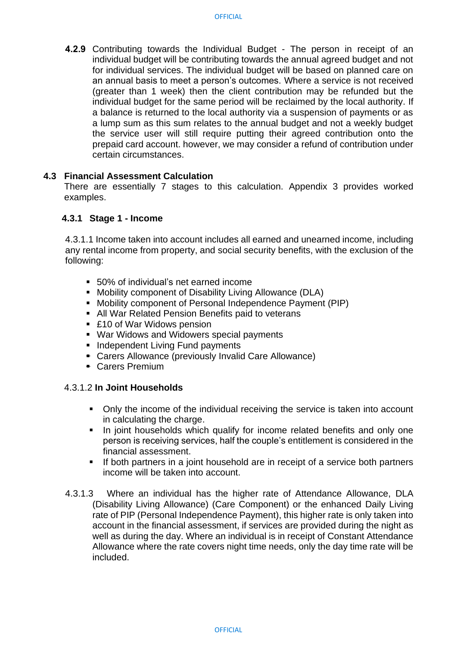**4.2.9** Contributing towards the Individual Budget - The person in receipt of an individual budget will be contributing towards the annual agreed budget and not for individual services. The individual budget will be based on planned care on an annual basis to meet a person's outcomes. Where a service is not received (greater than 1 week) then the client contribution may be refunded but the individual budget for the same period will be reclaimed by the local authority. If a balance is returned to the local authority via a suspension of payments or as a lump sum as this sum relates to the annual budget and not a weekly budget the service user will still require putting their agreed contribution onto the prepaid card account. however, we may consider a refund of contribution under certain circumstances.

#### **4.3 Financial Assessment Calculation**

There are essentially 7 stages to this calculation. Appendix 3 provides worked examples.

#### **4.3.1 Stage 1 - Income**

4.3.1.1 Income taken into account includes all earned and unearned income, including any rental income from property, and social security benefits, with the exclusion of the following:

- 50% of individual's net earned income
- Mobility component of Disability Living Allowance (DLA)
- Mobility component of Personal Independence Payment (PIP)
- All War Related Pension Benefits paid to veterans
- £10 of War Widows pension
- War Widows and Widowers special payments
- Independent Living Fund payments
- Carers Allowance (previously Invalid Care Allowance)
- Carers Premium

#### 4.3.1.2 **In Joint Households**

- Only the income of the individual receiving the service is taken into account in calculating the charge.
- **.** In joint households which qualify for income related benefits and only one person is receiving services, half the couple's entitlement is considered in the financial assessment.
- **EXT** If both partners in a joint household are in receipt of a service both partners income will be taken into account.
- 4.3.1.3 Where an individual has the higher rate of Attendance Allowance, DLA (Disability Living Allowance) (Care Component) or the enhanced Daily Living rate of PIP (Personal Independence Payment), this higher rate is only taken into account in the financial assessment, if services are provided during the night as well as during the day. Where an individual is in receipt of Constant Attendance Allowance where the rate covers night time needs, only the day time rate will be included.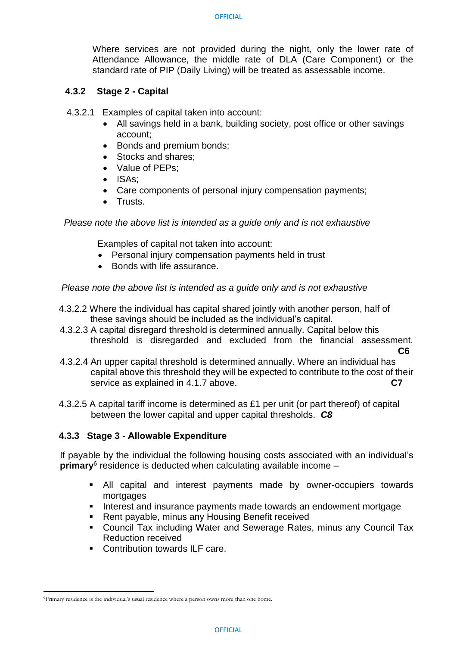Where services are not provided during the night, only the lower rate of Attendance Allowance, the middle rate of DLA (Care Component) or the standard rate of PIP (Daily Living) will be treated as assessable income.

#### **4.3.2 Stage 2 - Capital**

- 4.3.2.1 Examples of capital taken into account:
	- All savings held in a bank, building society, post office or other savings account;
	- Bonds and premium bonds;
	- Stocks and shares:
	- Value of PEPs:
	- ISAs;
	- Care components of personal injury compensation payments;
	- Trusts.

 *Please note the above list is intended as a guide only and is not exhaustive*

Examples of capital not taken into account:

- Personal injury compensation payments held in trust
- Bonds with life assurance.

 *Please note the above list is intended as a guide only and is not exhaustive* 

- 4.3.2.2 Where the individual has capital shared jointly with another person, half of these savings should be included as the individual's capital.
- 4.3.2.3 A capital disregard threshold is determined annually. Capital below this threshold is disregarded and excluded from the financial assessment.
- **C6** 4.3.2.4 An upper capital threshold is determined annually. Where an individual has capital above this threshold they will be expected to contribute to the cost of their service as explained in 4.1.7 above. **C7**
- 4.3.2.5 A capital tariff income is determined as £1 per unit (or part thereof) of capital between the lower capital and upper capital thresholds. *C8*

#### **4.3.3 Stage 3 - Allowable Expenditure**

If payable by the individual the following housing costs associated with an individual's **primary**<sup>6</sup> residence is deducted when calculating available income -

- All capital and interest payments made by owner-occupiers towards mortgages
- Interest and insurance payments made towards an endowment mortgage
- Rent payable, minus any Housing Benefit received
- Council Tax including Water and Sewerage Rates, minus any Council Tax Reduction received
- Contribution towards ILF care.

<sup>9</sup>Primary residence is the individual's usual residence where a person owns more than one home.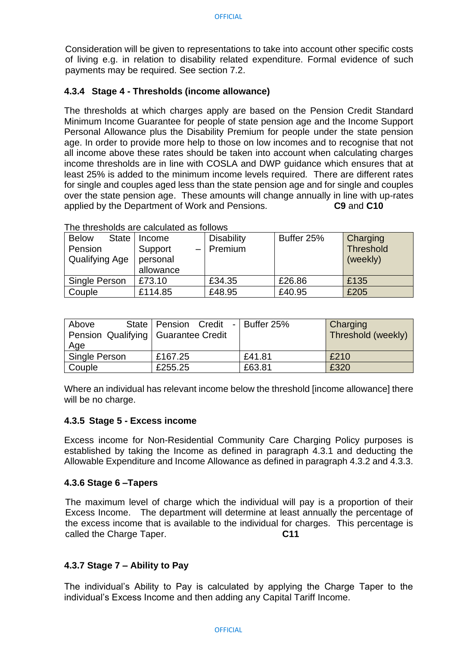Consideration will be given to representations to take into account other specific costs of living e.g. in relation to disability related expenditure. Formal evidence of such payments may be required. See section 7.2.

#### **4.3.4 Stage 4 - Thresholds (income allowance)**

The thresholds at which charges apply are based on the Pension Credit Standard Minimum Income Guarantee for people of state pension age and the Income Support Personal Allowance plus the Disability Premium for people under the state pension age. In order to provide more help to those on low incomes and to recognise that not all income above these rates should be taken into account when calculating charges income thresholds are in line with COSLA and DWP guidance which ensures that at least 25% is added to the minimum income levels required*.* There are different rates for single and couples aged less than the state pension age and for single and couples over the state pension age. These amounts will change annually in line with up-rates applied by the Department of Work and Pensions. **C9** and **C10**

| <b>Below</b><br><b>State</b><br>Pension<br>Qualifying Age | Income<br>Support<br>personal | <b>Disability</b><br>$-$   Premium | Buffer 25% | <b>Charging</b><br><b>Threshold</b><br>(weekly) |
|-----------------------------------------------------------|-------------------------------|------------------------------------|------------|-------------------------------------------------|
|                                                           | allowance                     |                                    |            |                                                 |
| Single Person                                             | £73.10                        | £34.35                             | £26.86     | £135                                            |
| Couple                                                    | £114.85                       | £48.95                             | £40.95     | £205                                            |

The thresholds are calculated as follows

| Above                                 | State   Pension Credit -   Buffer 25% |        | Charging           |
|---------------------------------------|---------------------------------------|--------|--------------------|
| Pension Qualifying   Guarantee Credit |                                       |        | Threshold (weekly) |
| Age                                   |                                       |        |                    |
| Single Person                         | £167.25                               | £41.81 | £210               |
| Couple                                | £255.25                               | £63.81 | £320               |

Where an individual has relevant income below the threshold [income allowance] there will be no charge.

#### **4.3.5 Stage 5 - Excess income**

Excess income for Non-Residential Community Care Charging Policy purposes is established by taking the Income as defined in paragraph 4.3.1 and deducting the Allowable Expenditure and Income Allowance as defined in paragraph 4.3.2 and 4.3.3.

#### **4.3.6 Stage 6 –Tapers**

The maximum level of charge which the individual will pay is a proportion of their Excess Income. The department will determine at least annually the percentage of the excess income that is available to the individual for charges. This percentage is called the Charge Taper. **C11** 

#### **4.3.7 Stage 7 – Ability to Pay**

The individual's Ability to Pay is calculated by applying the Charge Taper to the individual's Excess Income and then adding any Capital Tariff Income.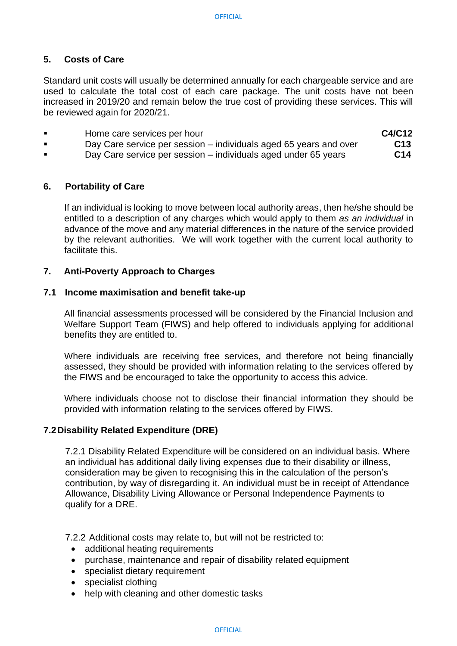#### **5. Costs of Care**

Standard unit costs will usually be determined annually for each chargeable service and are used to calculate the total cost of each care package. The unit costs have not been increased in 2019/20 and remain below the true cost of providing these services. This will be reviewed again for 2020/21.

| Home care services per hour                                       | C4/C12          |
|-------------------------------------------------------------------|-----------------|
| Day Care service per session – individuals aged 65 years and over | C <sub>13</sub> |
|                                                                   |                 |

▪ Day Care service per session – individuals aged under 65 years **C14**

#### **6. Portability of Care**

If an individual is looking to move between local authority areas, then he/she should be entitled to a description of any charges which would apply to them *as an individual* in advance of the move and any material differences in the nature of the service provided by the relevant authorities. We will work together with the current local authority to facilitate this.

#### **7. Anti-Poverty Approach to Charges**

#### **7.1 Income maximisation and benefit take-up**

All financial assessments processed will be considered by the Financial Inclusion and Welfare Support Team (FIWS) and help offered to individuals applying for additional benefits they are entitled to.

Where individuals are receiving free services, and therefore not being financially assessed, they should be provided with information relating to the services offered by the FIWS and be encouraged to take the opportunity to access this advice.

Where individuals choose not to disclose their financial information they should be provided with information relating to the services offered by FIWS.

#### **7.2Disability Related Expenditure (DRE)**

7.2.1 Disability Related Expenditure will be considered on an individual basis. Where an individual has additional daily living expenses due to their disability or illness, consideration may be given to recognising this in the calculation of the person's contribution, by way of disregarding it. An individual must be in receipt of Attendance Allowance, Disability Living Allowance or Personal Independence Payments to qualify for a DRE.

7.2.2 Additional costs may relate to, but will not be restricted to:

- additional heating requirements
- purchase, maintenance and repair of disability related equipment
- specialist dietary requirement
- specialist clothing
- help with cleaning and other domestic tasks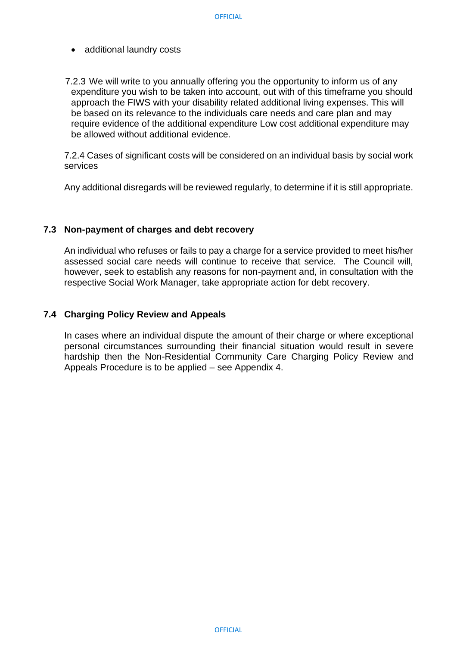- additional laundry costs
- 7.2.3 We will write to you annually offering you the opportunity to inform us of any expenditure you wish to be taken into account, out with of this timeframe you should approach the FIWS with your disability related additional living expenses. This will be based on its relevance to the individuals care needs and care plan and may require evidence of the additional expenditure Low cost additional expenditure may be allowed without additional evidence.

7.2.4 Cases of significant costs will be considered on an individual basis by social work services

Any additional disregards will be reviewed regularly, to determine if it is still appropriate.

#### **7.3 Non-payment of charges and debt recovery**

An individual who refuses or fails to pay a charge for a service provided to meet his/her assessed social care needs will continue to receive that service. The Council will, however, seek to establish any reasons for non-payment and, in consultation with the respective Social Work Manager, take appropriate action for debt recovery.

#### **7.4 Charging Policy Review and Appeals**

In cases where an individual dispute the amount of their charge or where exceptional personal circumstances surrounding their financial situation would result in severe hardship then the Non-Residential Community Care Charging Policy Review and Appeals Procedure is to be applied – see Appendix 4.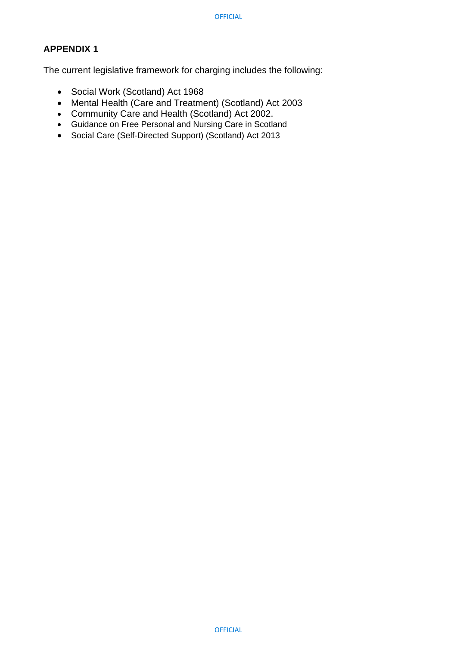### **APPENDIX 1**

The current legislative framework for charging includes the following:

- Social Work (Scotland) Act 1968
- Mental Health (Care and Treatment) (Scotland) Act 2003
- Community Care and Health (Scotland) Act 2002.
- Guidance on Free Personal and Nursing Care in Scotland
- Social Care (Self-Directed Support) (Scotland) Act 2013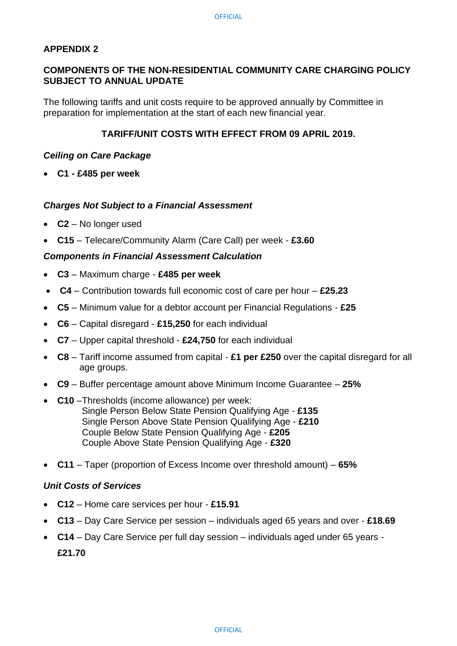#### **APPENDIX 2**

#### **COMPONENTS OF THE NON-RESIDENTIAL COMMUNITY CARE CHARGING POLICY SUBJECT TO ANNUAL UPDATE**

The following tariffs and unit costs require to be approved annually by Committee in preparation for implementation at the start of each new financial year.

#### **TARIFF/UNIT COSTS WITH EFFECT FROM 09 APRIL 2019.**

#### *Ceiling on Care Package*

• **C1 - £485 per week**

#### *Charges Not Subject to a Financial Assessment*

- **C2** No longer used
- **C15**  Telecare/Community Alarm (Care Call) per week **£3.60**

#### *Components in Financial Assessment Calculation*

- **C3** Maximum charge **£485 per week**
- **C4**  Contribution towards full economic cost of care per hour **£25.23**
- **C5** Minimum value for a debtor account per Financial Regulations **£25**
- **C6** Capital disregard **£15,250** for each individual
- **C7** Upper capital threshold **£24,750** for each individual
- **C8** Tariff income assumed from capital **£1 per £250** over the capital disregard for all age groups.
- **C9** Buffer percentage amount above Minimum Income Guarantee **25%**
- **C10** –Thresholds (income allowance) per week: Single Person Below State Pension Qualifying Age - **£135** Single Person Above State Pension Qualifying Age - **£210** Couple Below State Pension Qualifying Age - **£205** Couple Above State Pension Qualifying Age - **£320**
- **C11** Taper (proportion of Excess Income over threshold amount) **65%**

#### *Unit Costs of Services*

- **C12** Home care services per hour **£15.91**
- **C13** Day Care Service per session individuals aged 65 years and over **£18.69**
- **C14** Day Care Service per full day session individuals aged under 65 years **£21.70**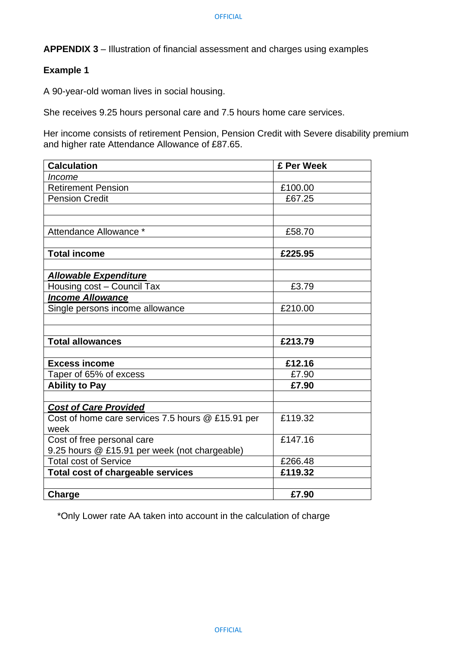#### **Example 1**

A 90-year-old woman lives in social housing.

She receives 9.25 hours personal care and 7.5 hours home care services.

Her income consists of retirement Pension, Pension Credit with Severe disability premium and higher rate Attendance Allowance of £87.65.

| <b>Calculation</b>                                | £ Per Week |
|---------------------------------------------------|------------|
| Income                                            |            |
| <b>Retirement Pension</b>                         | £100.00    |
| <b>Pension Credit</b>                             | £67.25     |
|                                                   |            |
|                                                   |            |
| Attendance Allowance *                            | £58.70     |
|                                                   |            |
| <b>Total income</b>                               | £225.95    |
|                                                   |            |
| <b>Allowable Expenditure</b>                      |            |
| Housing cost - Council Tax                        | £3.79      |
| <b>Income Allowance</b>                           |            |
| Single persons income allowance                   | £210.00    |
|                                                   |            |
|                                                   |            |
| <b>Total allowances</b>                           | £213.79    |
|                                                   |            |
| <b>Excess income</b>                              | £12.16     |
| Taper of 65% of excess                            | £7.90      |
| <b>Ability to Pay</b>                             | £7.90      |
|                                                   |            |
| <b>Cost of Care Provided</b>                      |            |
| Cost of home care services 7.5 hours @ £15.91 per | £119.32    |
| week                                              |            |
| Cost of free personal care                        | £147.16    |
| 9.25 hours @ £15.91 per week (not chargeable)     |            |
| <b>Total cost of Service</b>                      | £266.48    |
| <b>Total cost of chargeable services</b>          | £119.32    |
|                                                   |            |
| Charge                                            | £7.90      |

\*Only Lower rate AA taken into account in the calculation of charge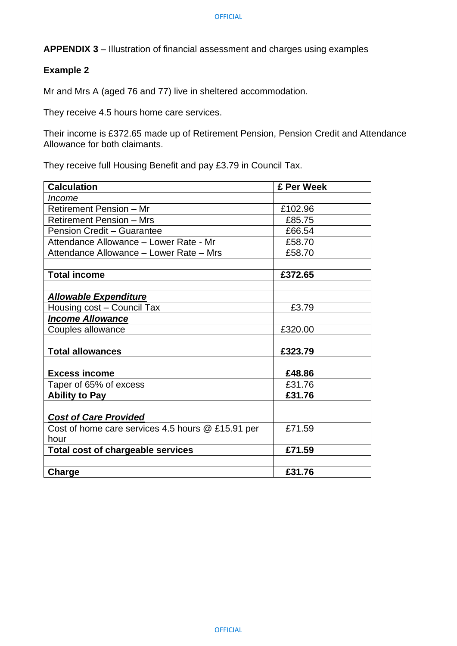#### **Example 2**

Mr and Mrs A (aged 76 and 77) live in sheltered accommodation.

They receive 4.5 hours home care services.

Their income is £372.65 made up of Retirement Pension, Pension Credit and Attendance Allowance for both claimants.

They receive full Housing Benefit and pay £3.79 in Council Tax.

| <b>Calculation</b>                                | £ Per Week |
|---------------------------------------------------|------------|
| <i>Income</i>                                     |            |
| Retirement Pension - Mr                           | £102.96    |
| <b>Retirement Pension - Mrs</b>                   | £85.75     |
| <b>Pension Credit - Guarantee</b>                 | £66.54     |
| Attendance Allowance - Lower Rate - Mr            | £58.70     |
| Attendance Allowance - Lower Rate - Mrs           | £58.70     |
| <b>Total income</b>                               | £372.65    |
| <b>Allowable Expenditure</b>                      |            |
| Housing cost – Council Tax                        | £3.79      |
| <b>Income Allowance</b>                           |            |
| Couples allowance                                 | £320.00    |
|                                                   |            |
| <b>Total allowances</b>                           | £323.79    |
|                                                   |            |
| <b>Excess income</b>                              | £48.86     |
| Taper of 65% of excess                            | £31.76     |
| <b>Ability to Pay</b>                             | £31.76     |
| <b>Cost of Care Provided</b>                      |            |
| Cost of home care services 4.5 hours @ £15.91 per | £71.59     |
| hour                                              |            |
| <b>Total cost of chargeable services</b>          | £71.59     |
| Charge                                            | £31.76     |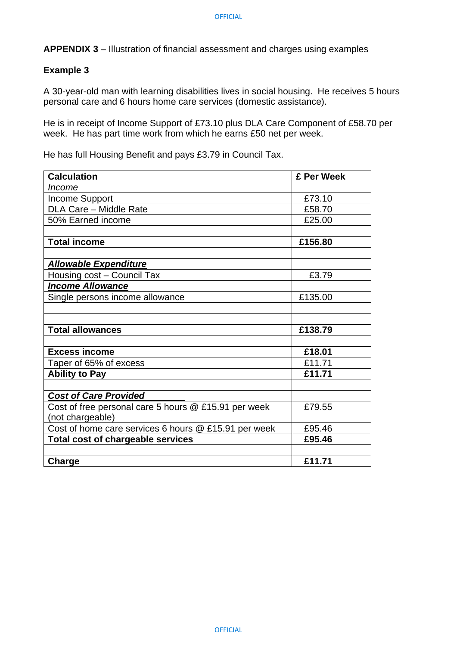#### **Example 3**

A 30-year-old man with learning disabilities lives in social housing. He receives 5 hours personal care and 6 hours home care services (domestic assistance).

He is in receipt of Income Support of £73.10 plus DLA Care Component of £58.70 per week. He has part time work from which he earns £50 net per week.

He has full Housing Benefit and pays £3.79 in Council Tax.

| <b>Calculation</b>                                   | £ Per Week |
|------------------------------------------------------|------------|
| Income                                               |            |
| <b>Income Support</b>                                | £73.10     |
| DLA Care - Middle Rate                               | £58.70     |
| 50% Earned income                                    | £25.00     |
|                                                      |            |
| <b>Total income</b>                                  | £156.80    |
|                                                      |            |
| <b>Allowable Expenditure</b>                         |            |
| Housing cost - Council Tax                           | £3.79      |
| <b>Income Allowance</b>                              |            |
| Single persons income allowance                      | £135.00    |
|                                                      |            |
|                                                      |            |
| <b>Total allowances</b>                              | £138.79    |
|                                                      |            |
| <b>Excess income</b>                                 | £18.01     |
| Taper of 65% of excess                               | £11.71     |
| <b>Ability to Pay</b>                                | £11.71     |
|                                                      |            |
| <b>Cost of Care Provided</b>                         |            |
| Cost of free personal care 5 hours @ £15.91 per week | £79.55     |
| (not chargeable)                                     |            |
| Cost of home care services 6 hours @ £15.91 per week | £95.46     |
| <b>Total cost of chargeable services</b>             | £95.46     |
|                                                      |            |
| Charge                                               | £11.71     |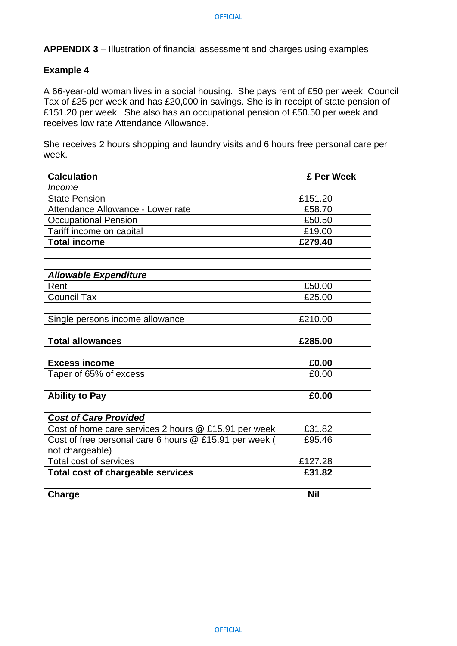#### **Example 4**

A 66-year-old woman lives in a social housing. She pays rent of £50 per week, Council Tax of £25 per week and has £20,000 in savings. She is in receipt of state pension of £151.20 per week. She also has an occupational pension of £50.50 per week and receives low rate Attendance Allowance.

She receives 2 hours shopping and laundry visits and 6 hours free personal care per week.

| <b>Calculation</b>                                     | £ Per Week |
|--------------------------------------------------------|------------|
| Income                                                 |            |
| <b>State Pension</b>                                   | £151.20    |
| Attendance Allowance - Lower rate                      | £58.70     |
| <b>Occupational Pension</b>                            | £50.50     |
| Tariff income on capital                               | £19.00     |
| <b>Total income</b>                                    | £279.40    |
|                                                        |            |
|                                                        |            |
| <b>Allowable Expenditure</b>                           |            |
| Rent                                                   | £50.00     |
| <b>Council Tax</b>                                     | £25.00     |
| Single persons income allowance                        | £210.00    |
| <b>Total allowances</b>                                | £285.00    |
| <b>Excess income</b>                                   | £0.00      |
| Taper of 65% of excess                                 | £0.00      |
|                                                        |            |
| <b>Ability to Pay</b>                                  | £0.00      |
| <b>Cost of Care Provided</b>                           |            |
| Cost of home care services 2 hours @ £15.91 per week   | £31.82     |
| Cost of free personal care 6 hours @ £15.91 per week ( | £95.46     |
| not chargeable)                                        |            |
| <b>Total cost of services</b>                          | £127.28    |
| <b>Total cost of chargeable services</b>               | £31.82     |
|                                                        |            |
| Charge                                                 | <b>Nil</b> |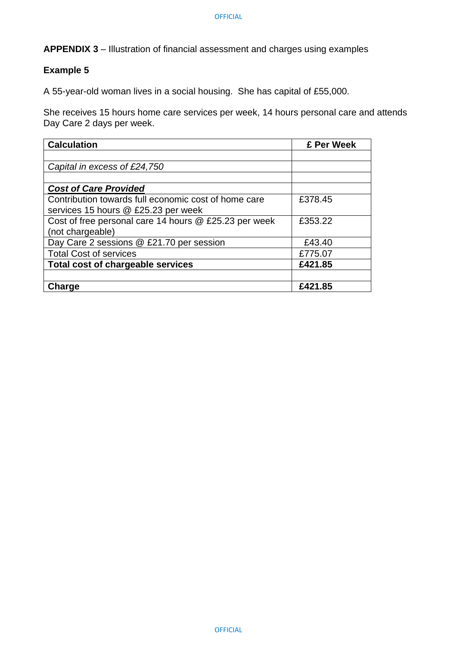### **Example 5**

A 55-year-old woman lives in a social housing. She has capital of £55,000.

She receives 15 hours home care services per week, 14 hours personal care and attends Day Care 2 days per week.

| <b>Calculation</b>                                    | £ Per Week |
|-------------------------------------------------------|------------|
|                                                       |            |
| Capital in excess of £24,750                          |            |
|                                                       |            |
| <b>Cost of Care Provided</b>                          |            |
| Contribution towards full economic cost of home care  | £378.45    |
| services 15 hours @ £25.23 per week                   |            |
| Cost of free personal care 14 hours @ £25.23 per week | £353.22    |
| (not chargeable)                                      |            |
| Day Care 2 sessions @ £21.70 per session              | £43.40     |
| <b>Total Cost of services</b>                         | £775.07    |
| Total cost of chargeable services                     | £421.85    |
|                                                       |            |
| Charge                                                | £421.85    |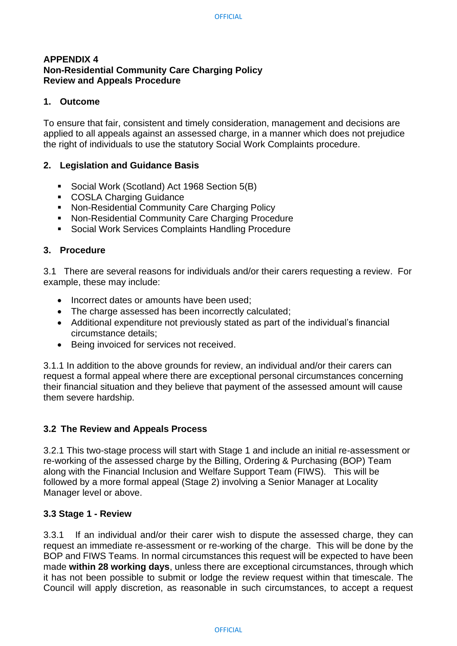#### **APPENDIX 4 Non-Residential Community Care Charging Policy Review and Appeals Procedure**

#### **1. Outcome**

To ensure that fair, consistent and timely consideration, management and decisions are applied to all appeals against an assessed charge, in a manner which does not prejudice the right of individuals to use the statutory Social Work Complaints procedure.

#### **2. Legislation and Guidance Basis**

- Social Work (Scotland) Act 1968 Section 5(B)
- COSLA Charging Guidance
- Non-Residential Community Care Charging Policy
- Non-Residential Community Care Charging Procedure
- Social Work Services Complaints Handling Procedure

#### **3. Procedure**

3.1 There are several reasons for individuals and/or their carers requesting a review. For example, these may include:

- Incorrect dates or amounts have been used:
- The charge assessed has been incorrectly calculated;
- Additional expenditure not previously stated as part of the individual's financial circumstance details;
- Being invoiced for services not received.

3.1.1 In addition to the above grounds for review, an individual and/or their carers can request a formal appeal where there are exceptional personal circumstances concerning their financial situation and they believe that payment of the assessed amount will cause them severe hardship.

#### **3.2 The Review and Appeals Process**

3.2.1 This two-stage process will start with Stage 1 and include an initial re-assessment or re-working of the assessed charge by the Billing, Ordering & Purchasing (BOP) Team along with the Financial Inclusion and Welfare Support Team (FIWS). This will be followed by a more formal appeal (Stage 2) involving a Senior Manager at Locality Manager level or above.

#### **3.3 Stage 1 - Review**

3.3.1 If an individual and/or their carer wish to dispute the assessed charge, they can request an immediate re-assessment or re-working of the charge. This will be done by the BOP and FIWS Teams. In normal circumstances this request will be expected to have been made **within 28 working days**, unless there are exceptional circumstances, through which it has not been possible to submit or lodge the review request within that timescale. The Council will apply discretion, as reasonable in such circumstances, to accept a request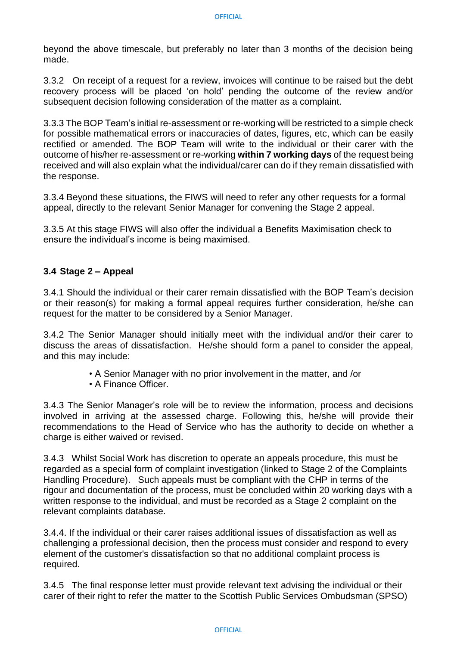beyond the above timescale, but preferably no later than 3 months of the decision being made.

3.3.2 On receipt of a request for a review, invoices will continue to be raised but the debt recovery process will be placed 'on hold' pending the outcome of the review and/or subsequent decision following consideration of the matter as a complaint.

3.3.3 The BOP Team's initial re-assessment or re-working will be restricted to a simple check for possible mathematical errors or inaccuracies of dates, figures, etc, which can be easily rectified or amended. The BOP Team will write to the individual or their carer with the outcome of his/her re-assessment or re-working **within 7 working days** of the request being received and will also explain what the individual/carer can do if they remain dissatisfied with the response.

3.3.4 Beyond these situations, the FIWS will need to refer any other requests for a formal appeal, directly to the relevant Senior Manager for convening the Stage 2 appeal.

3.3.5 At this stage FIWS will also offer the individual a Benefits Maximisation check to ensure the individual's income is being maximised.

#### **3.4 Stage 2 – Appeal**

3.4.1 Should the individual or their carer remain dissatisfied with the BOP Team's decision or their reason(s) for making a formal appeal requires further consideration, he/she can request for the matter to be considered by a Senior Manager.

3.4.2 The Senior Manager should initially meet with the individual and/or their carer to discuss the areas of dissatisfaction. He/she should form a panel to consider the appeal, and this may include:

- A Senior Manager with no prior involvement in the matter, and /or
- A Finance Officer.

3.4.3 The Senior Manager's role will be to review the information, process and decisions involved in arriving at the assessed charge. Following this, he/she will provide their recommendations to the Head of Service who has the authority to decide on whether a charge is either waived or revised.

3.4.3 Whilst Social Work has discretion to operate an appeals procedure, this must be regarded as a special form of complaint investigation (linked to Stage 2 of the Complaints Handling Procedure). Such appeals must be compliant with the CHP in terms of the rigour and documentation of the process, must be concluded within 20 working days with a written response to the individual, and must be recorded as a Stage 2 complaint on the relevant complaints database.

3.4.4. If the individual or their carer raises additional issues of dissatisfaction as well as challenging a professional decision, then the process must consider and respond to every element of the customer's dissatisfaction so that no additional complaint process is required.

3.4.5 The final response letter must provide relevant text advising the individual or their carer of their right to refer the matter to the Scottish Public Services Ombudsman (SPSO)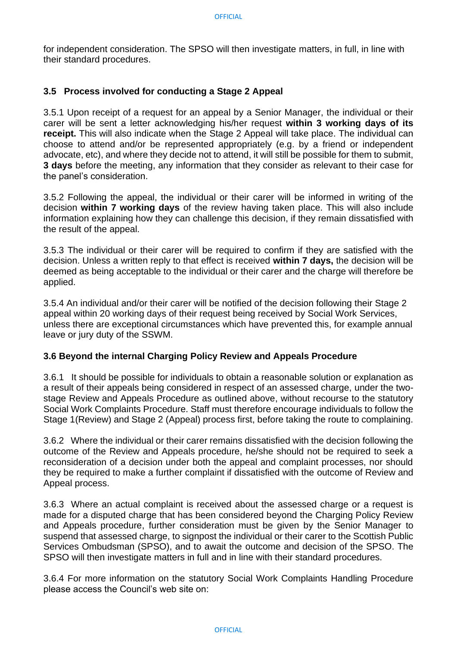for independent consideration. The SPSO will then investigate matters, in full, in line with their standard procedures.

#### **3.5 Process involved for conducting a Stage 2 Appeal**

3.5.1 Upon receipt of a request for an appeal by a Senior Manager, the individual or their carer will be sent a letter acknowledging his/her request **within 3 working days of its receipt.** This will also indicate when the Stage 2 Appeal will take place. The individual can choose to attend and/or be represented appropriately (e.g. by a friend or independent advocate, etc), and where they decide not to attend, it will still be possible for them to submit, **3 days** before the meeting, any information that they consider as relevant to their case for the panel's consideration.

3.5.2 Following the appeal, the individual or their carer will be informed in writing of the decision **within 7 working days** of the review having taken place. This will also include information explaining how they can challenge this decision, if they remain dissatisfied with the result of the appeal.

3.5.3 The individual or their carer will be required to confirm if they are satisfied with the decision. Unless a written reply to that effect is received **within 7 days,** the decision will be deemed as being acceptable to the individual or their carer and the charge will therefore be applied.

3.5.4 An individual and/or their carer will be notified of the decision following their Stage 2 appeal within 20 working days of their request being received by Social Work Services, unless there are exceptional circumstances which have prevented this, for example annual leave or jury duty of the SSWM.

#### **3.6 Beyond the internal Charging Policy Review and Appeals Procedure**

3.6.1 It should be possible for individuals to obtain a reasonable solution or explanation as a result of their appeals being considered in respect of an assessed charge, under the twostage Review and Appeals Procedure as outlined above, without recourse to the statutory Social Work Complaints Procedure. Staff must therefore encourage individuals to follow the Stage 1(Review) and Stage 2 (Appeal) process first, before taking the route to complaining.

3.6.2 Where the individual or their carer remains dissatisfied with the decision following the outcome of the Review and Appeals procedure, he/she should not be required to seek a reconsideration of a decision under both the appeal and complaint processes, nor should they be required to make a further complaint if dissatisfied with the outcome of Review and Appeal process.

3.6.3 Where an actual complaint is received about the assessed charge or a request is made for a disputed charge that has been considered beyond the Charging Policy Review and Appeals procedure, further consideration must be given by the Senior Manager to suspend that assessed charge, to signpost the individual or their carer to the Scottish Public Services Ombudsman (SPSO), and to await the outcome and decision of the SPSO. The SPSO will then investigate matters in full and in line with their standard procedures.

3.6.4 For more information on the statutory Social Work Complaints Handling Procedure please access the Council's web site on: